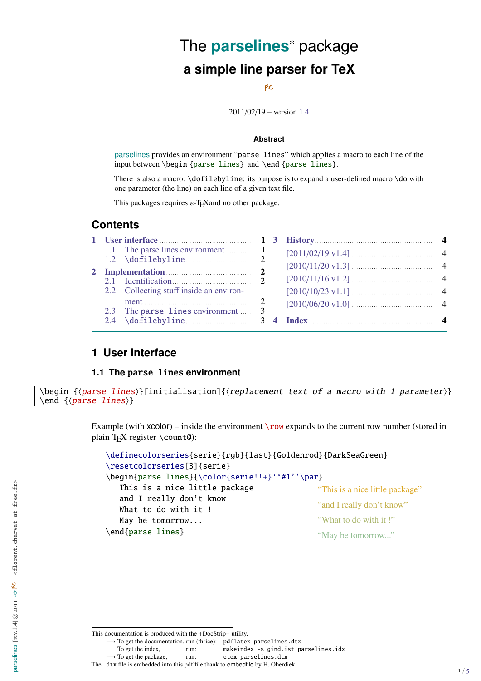# The **parselines**<sup>∗</sup> package **a simple line parser for TeX**

#### FC

2011/02/19 – version [1.4](#page-3-0)

#### **Abstract**

parselines provides an environment "parse lines" which applies a macro to each line of the input between \begin {parse lines} and \end {parse lines}.

There is also a macro: \dofilebyline: its purpose is to expand a user-defined macro \do with one parameter (the line) on each line of a given text file.

This packages requires  $\varepsilon$ -T<sub>E</sub>Xand no other package.

## **Contents**

|  | $1.2 \quad \text{dofilebyline}$         |  |  |
|--|-----------------------------------------|--|--|
|  | 2 Implementation 2                      |  |  |
|  |                                         |  |  |
|  | 2.2 Collecting stuff inside an environ- |  |  |
|  | 2.3 The parse lines environment  3      |  |  |
|  |                                         |  |  |

## <span id="page-0-0"></span>**1 User interface**

#### <span id="page-0-1"></span>**1.1 The** parse lines **environment**

```
\begin {\langle parse\ lines \rangle}[initialisation]{\langle replacement\ text\ of\ a\ macro\ with\ 1\ parameter \rangle}\end \{{parse lines}\}
```
Example (with  $xcolor)$  – inside the environment  $\row$  expands to the current row number (stored in plain TEX register \count@):

```
\definecolorseries{serie}{rgb}{last}{Goldenrod}{DarkSeaGreen}
\resetcolorseries[3]{serie}
\begin{parse lines}{\color{serie!!+}''#1''\par}
   This is a nice little package
   and I really don't know
   What to do with it !
   May be tomorrow...
\end{parse lines}
                                                  "This is a nice little package"
                                                  "and I really don't know"
                                                 "What to do with it !"
                                                  "May be tomorrow..."
```
→ To get the documentation, run (thrice): pdflatex parselines.dtx

→ To get the package, run: etex parselines.dtx

This documentation is produced with the +DocStrip+ utility.

To get the index, mun: makeindex -s gind.ist parselines.idx

The .dtx file is embedded into this pdf file thank to embedfile by H. Oberdiek.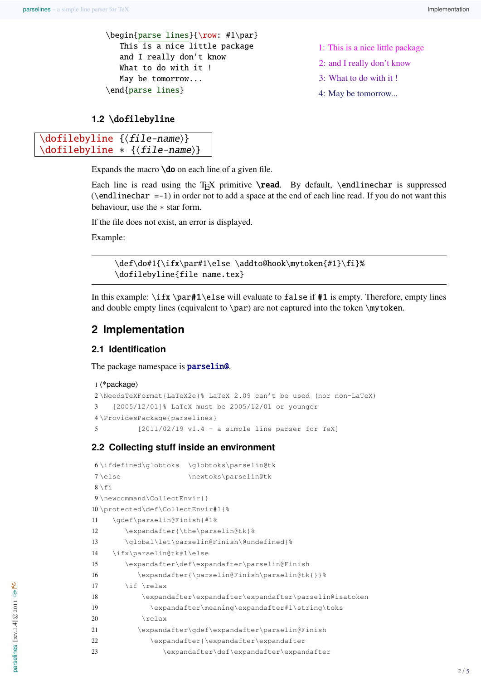\begin{parse lines}{\row: #1\par} This is a nice little package and I really don't know What to do with it ! May be tomorrow... \end{parse lines}

- 1: This is a nice little package
- 2: and I really don't know
- 3: What to do with it !
- 4: May be tomorrow...

#### <span id="page-1-0"></span>**1.2** \dofilebyline

```
\dot{\delta} \dofilebyline {\dot{\delta} {file-name}}
\dofilebyline * {\file-name}}
```
Expands the macro  $\delta$  on each line of a given file.

Each line is read using the T<sub>EX</sub> primitive  $\$ read. By default,  $\end{math}$ endlinechar is suppressed  $(\end{math}$  and linechar =-1) in order not to add a space at the end of each line read. If you do not want this behaviour, use the ∗ star form.

If the file does not exist, an error is displayed.

Example:

\def\do#1{\ifx\par#1\else \addto@hook\mytoken{#1}\fi}% \dofilebyline{file name.tex}

In this example: \ifx \par**#1**\else will evaluate to false if **#1** is empty. Therefore, empty lines and double empty lines (equivalent to  $\parrow$ ) are not captured into the token  $\my$ token.

## <span id="page-1-1"></span>**2 Implementation**

### <span id="page-1-2"></span>**2.1 Identification**

The package namespace is **parselin@**.

```
1 (*package)
2 \NeedsTeXFormat{LaTeX2e}% LaTeX 2.09 can't be used (nor non-LaTeX)
3 [2005/12/01]% LaTeX must be 2005/12/01 or younger
4 \ProvidesPackage{parselines}
5 [2011/02/19 v1.4 - a simple line parser for TeX]
```
#### <span id="page-1-3"></span>**2.2 Collecting stuff inside an environment**

```
6 \ifdefined\globtoks \globtoks\parselin@tk
7\else \newtoks\parselin@tk
8 \setminus fi
9 \newcommand\CollectEnvir{}
10 \protected\def\CollectEnvir#1{%
11 \gdef\parselin@Finish{#1%
12 \expandafter{\the\parselin@tk}%
13 \global\let\parselin@Finish\@undefined}%
14 \ifx\parselin@tk#1\else
15 \expandafter\def\expandafter\parselin@Finish
16 \expandafter{\parselin@Finish\parselin@tk{}}%
17 \if \relax
18 \expandafter\expandafter\expandafter\parselin@isatoken
19 \expandafter\meaning\expandafter#1\string\toks
20 \quad \text{relax}21 \expandafter\gdef\expandafter\parselin@Finish
22 \expandafter{\expandafter\expandafter
23 \expandafter\def\expandafter\expandafter
```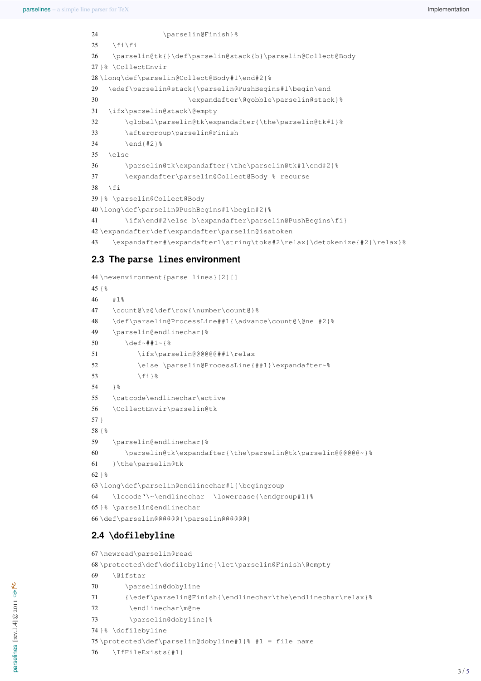```
24 \parselin@Finish}%
25 \quad \text{ifif}26 \parselin@tk{}\def\parselin@stack{b}\parselin@Collect@Body
27 }% \CollectEnvir
28 \long\def\parselin@Collect@Body#1\end#2{%
29 \edef\parselin@stack{\parselin@PushBegins#1\begin\end
30 \expandafter\@gobble\parselin@stack}%
31 \ifx\parselin@stack\@empty
32 \global\parselin@tk\expandafter{\the\parselin@tk#1}%
33 \aftergroup\parselin@Finish
34 \end{#2}%
35 \else
36 \parselin@tk\expandafter{\the\parselin@tk#1\end#2}%
37 \expandafter\parselin@Collect@Body % recurse
38 \fi
39 }% \parselin@Collect@Body
40 \long\def\parselin@PushBegins#1\begin#2{%
41 \ifx\end#2\else b\expandafter\parselin@PushBegins\fi}
42 \expandafter\def\expandafter\parselin@isatoken
43 \expandafter#\expandafter1\string\toks#2\relax{\detokenize{#2}\relax}%
```
# <span id="page-2-40"></span><span id="page-2-36"></span><span id="page-2-35"></span><span id="page-2-32"></span><span id="page-2-23"></span><span id="page-2-22"></span><span id="page-2-9"></span><span id="page-2-0"></span>**2.3 The** parse lines **environment**

```
44 \newenvironment{parse lines}[2][]
45 {%
46 #1%
47 \count@\z@\def\row{\number\count@}%
48 \def\parselin@ProcessLine##1{\advance\count@\@ne #2}%
49 \parselin@endlinechar{%
50 \det \det \frac{1}{8}51 \ifx\parselin@@@@@@##1\relax
52 \else \parselin@ProcessLine{##1}\expandafter~%
53 \{f_i\} %
54 1%55 \catcode\endlinechar\active
56 \CollectEnvir\parselin@tk
57 }
58 {%
59 \parselin@endlinechar{%
60 \parselin@tk\expandafter{\the\parselin@tk\parselin@@@@@@~}%
61 }\the\parselin@tk
62 } %63 \long\def\parselin@endlinechar#1{\begingroup
64 \lccode'\~\endlinechar \lowercase{\endgroup#1}%
65 }% \parselin@endlinechar
66 \def\parselin@@@@@@{\parselin@@@@@@}
```
# <span id="page-2-41"></span><span id="page-2-30"></span><span id="page-2-29"></span><span id="page-2-28"></span><span id="page-2-19"></span><span id="page-2-18"></span><span id="page-2-6"></span><span id="page-2-2"></span><span id="page-2-1"></span>**2.4** \dofilebyline

```
67 \newread\parselin@read
68 \protected\def\dofilebyline{\let\parselin@Finish\@empty
69 \@ifstar
70 \parselin@dobyline
71 {\edef\parselin@Finish{\endlinechar\the\endlinechar\relax}%
72 \endlinechar\m@ne
73 \parselin@dobyline}%
74 }% \dofilebyline
75 \protected\def\parselin@dobyline#1{% #1 = file name
76 \IfFileExists{#1}
```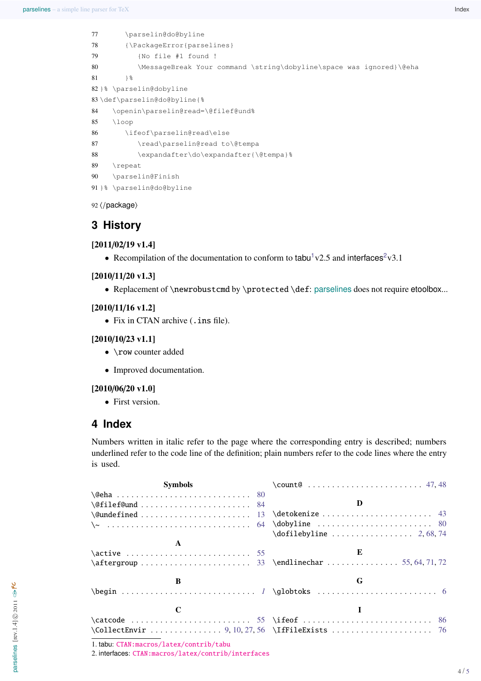```
77 \parselin@do@byline
78 {\PackageError{parselines}
79 {No file #1 found !
80 \MessageBreak Your command \string\dobyline\space was ignored}\@eha
81 } %82 }% \parselin@dobyline
83 \def\parselin@do@byline{%
84 \openin\parselin@read=\@filef@und%
85 \loop
86 \ifeof\parselin@read\else
87 \read\parselin@read to\@tempa
88 \expandafter\do\expandafter{\@tempa}%
89 \repeat
90 \parselin@Finish
91 }% \parselin@do@byline
```
<span id="page-3-15"></span><span id="page-3-14"></span><span id="page-3-13"></span><span id="page-3-11"></span><span id="page-3-7"></span><span id="page-3-6"></span>92 (/package)

# <span id="page-3-0"></span>**3 History**

[2011/02/19 v1.4]

• Recompilation of the documentation to conform to tabu<sup>[1](#page-3-2)</sup>v[2](#page-3-3).5 and interfaces<sup>2</sup>v3.1

#### [2010/11/20 v1.3]

• Replacement of \newrobustcmd by \protected \def: parselines does not require etoolbox...

#### [2010/11/16 v1.2]

• Fix in CTAN archive (. ins file).

#### [2010/10/23 v1.1]

- \row counter added
- Improved documentation.

#### [2010/06/20 v1.0]

• First version.

# <span id="page-3-1"></span>**4 Index**

Numbers written in italic refer to the page where the corresponding entry is described; numbers underlined refer to the code line of the definition; plain numbers refer to the code lines where the entry is used.

| Symbols                                                                                                                                                                                                                                                                                                                                                                                                                                                                                                                            |   |
|------------------------------------------------------------------------------------------------------------------------------------------------------------------------------------------------------------------------------------------------------------------------------------------------------------------------------------------------------------------------------------------------------------------------------------------------------------------------------------------------------------------------------------|---|
|                                                                                                                                                                                                                                                                                                                                                                                                                                                                                                                                    |   |
| $\left\{\text{CefilefQund} \dots \dots \dots \dots \dots \dots \quad 84\right\}$                                                                                                                                                                                                                                                                                                                                                                                                                                                   |   |
| $\qquad \ldots \ldots \ldots \qquad \ldots \qquad \ldots \qquad \ldots \qquad \ldots \qquad \ldots \qquad \ldots \qquad \ldots \qquad \ldots \qquad \ldots \qquad \ldots \qquad \ldots \qquad \ldots \qquad \ldots \qquad \ldots \qquad \ldots \qquad \ldots \qquad \ldots \qquad \ldots \qquad \ldots \qquad \ldots \qquad \ldots \qquad \ldots \qquad \ldots \qquad \ldots \qquad \ldots \qquad \ldots \qquad \ldots \qquad \ldots \qquad \ldots \qquad \ldots \qquad \ldots \qquad \ldots \qquad \ldots \qquad \ldots \qquad \$ |   |
|                                                                                                                                                                                                                                                                                                                                                                                                                                                                                                                                    |   |
|                                                                                                                                                                                                                                                                                                                                                                                                                                                                                                                                    |   |
|                                                                                                                                                                                                                                                                                                                                                                                                                                                                                                                                    |   |
|                                                                                                                                                                                                                                                                                                                                                                                                                                                                                                                                    | E |
| $\after group \dots 11112$ $\end{later} 111112$                                                                                                                                                                                                                                                                                                                                                                                                                                                                                    |   |
| B                                                                                                                                                                                                                                                                                                                                                                                                                                                                                                                                  | G |
| $\begin{bmatrix} \begin{array}{ccc} \text{else} \end{array} \end{bmatrix}$                                                                                                                                                                                                                                                                                                                                                                                                                                                         |   |
|                                                                                                                                                                                                                                                                                                                                                                                                                                                                                                                                    |   |
|                                                                                                                                                                                                                                                                                                                                                                                                                                                                                                                                    |   |
|                                                                                                                                                                                                                                                                                                                                                                                                                                                                                                                                    |   |

<span id="page-3-2"></span>1. tabu: [CTAN:macros/latex/contrib/tabu](http://www.ctan.org/tex-archive/macros/latex/contrib/tabu)

<span id="page-3-3"></span>2. interfaces: [CTAN:macros/latex/contrib/interfaces](http://www.ctan.org/tex-archive/macros/latex/contrib/interfaces)